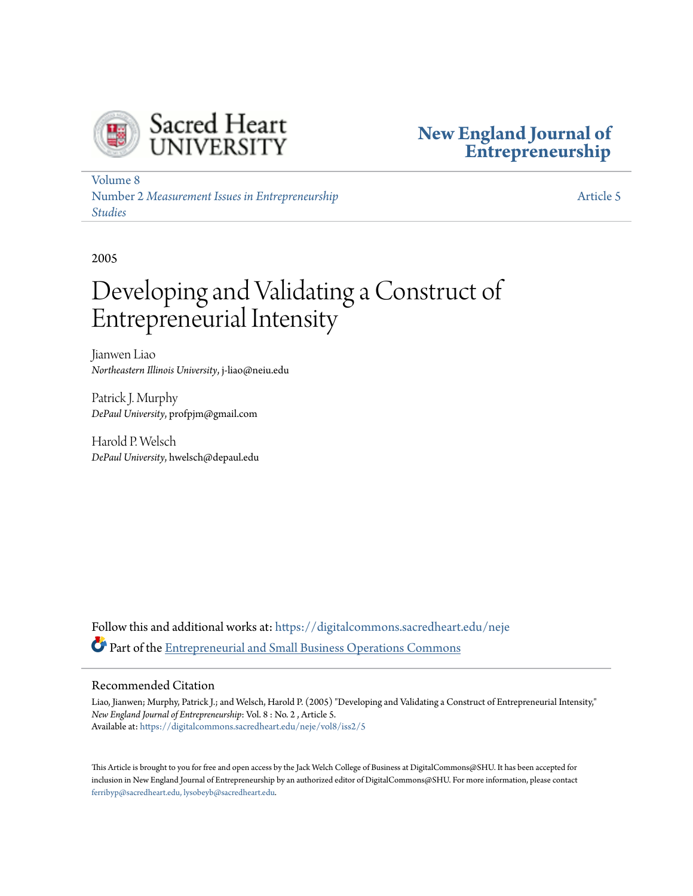

# **[New England Journal of](https://digitalcommons.sacredheart.edu/neje?utm_source=digitalcommons.sacredheart.edu%2Fneje%2Fvol8%2Fiss2%2F5&utm_medium=PDF&utm_campaign=PDFCoverPages) [Entrepreneurship](https://digitalcommons.sacredheart.edu/neje?utm_source=digitalcommons.sacredheart.edu%2Fneje%2Fvol8%2Fiss2%2F5&utm_medium=PDF&utm_campaign=PDFCoverPages)**

[Volume 8](https://digitalcommons.sacredheart.edu/neje/vol8?utm_source=digitalcommons.sacredheart.edu%2Fneje%2Fvol8%2Fiss2%2F5&utm_medium=PDF&utm_campaign=PDFCoverPages) Number 2 *[Measurement Issues in Entrepreneurship](https://digitalcommons.sacredheart.edu/neje/vol8/iss2?utm_source=digitalcommons.sacredheart.edu%2Fneje%2Fvol8%2Fiss2%2F5&utm_medium=PDF&utm_campaign=PDFCoverPages) [Studies](https://digitalcommons.sacredheart.edu/neje/vol8/iss2?utm_source=digitalcommons.sacredheart.edu%2Fneje%2Fvol8%2Fiss2%2F5&utm_medium=PDF&utm_campaign=PDFCoverPages)*

[Article 5](https://digitalcommons.sacredheart.edu/neje/vol8/iss2/5?utm_source=digitalcommons.sacredheart.edu%2Fneje%2Fvol8%2Fiss2%2F5&utm_medium=PDF&utm_campaign=PDFCoverPages)

2005

# Developing and Validating a Construct of Entrepreneurial Intensity

Jianwen Liao *Northeastern Illinois University*, j-liao@neiu.edu

Patrick J. Murphy *DePaul University*, profpjm@gmail.com

Harold P. Welsch *DePaul University*, hwelsch@depaul.edu

Follow this and additional works at: [https://digitalcommons.sacredheart.edu/neje](https://digitalcommons.sacredheart.edu/neje?utm_source=digitalcommons.sacredheart.edu%2Fneje%2Fvol8%2Fiss2%2F5&utm_medium=PDF&utm_campaign=PDFCoverPages) Part of the [Entrepreneurial and Small Business Operations Commons](http://network.bepress.com/hgg/discipline/630?utm_source=digitalcommons.sacredheart.edu%2Fneje%2Fvol8%2Fiss2%2F5&utm_medium=PDF&utm_campaign=PDFCoverPages)

#### Recommended Citation

Liao, Jianwen; Murphy, Patrick J.; and Welsch, Harold P. (2005) "Developing and Validating a Construct of Entrepreneurial Intensity," *New England Journal of Entrepreneurship*: Vol. 8 : No. 2 , Article 5. Available at: [https://digitalcommons.sacredheart.edu/neje/vol8/iss2/5](https://digitalcommons.sacredheart.edu/neje/vol8/iss2/5?utm_source=digitalcommons.sacredheart.edu%2Fneje%2Fvol8%2Fiss2%2F5&utm_medium=PDF&utm_campaign=PDFCoverPages)

This Article is brought to you for free and open access by the Jack Welch College of Business at DigitalCommons@SHU. It has been accepted for inclusion in New England Journal of Entrepreneurship by an authorized editor of DigitalCommons@SHU. For more information, please contact [ferribyp@sacredheart.edu, lysobeyb@sacredheart.edu.](mailto:ferribyp@sacredheart.edu,%20lysobeyb@sacredheart.edu)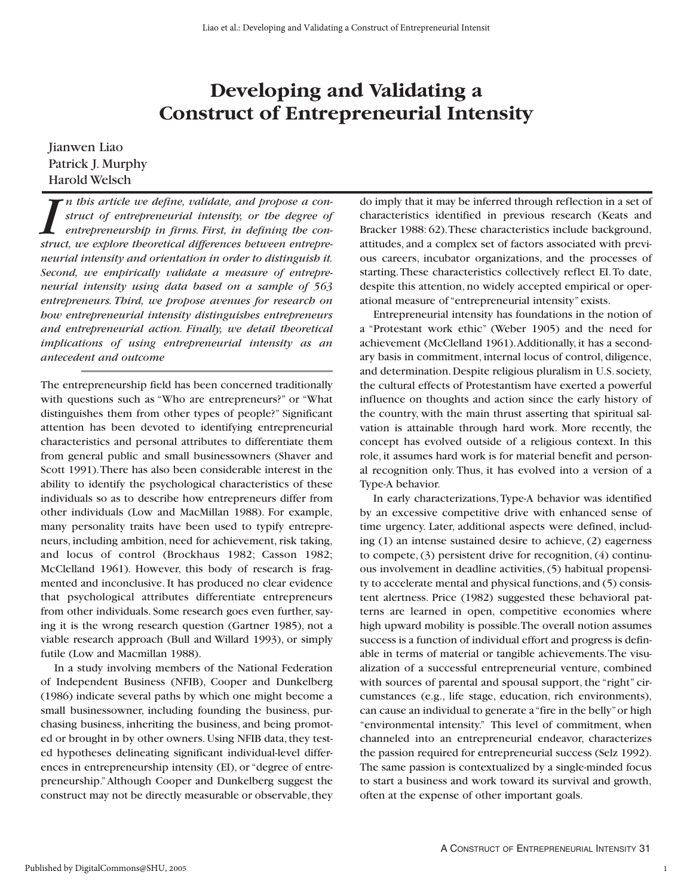# **Developing and Validating a Construct of Entrepreneurial Intensity**

# Jianwen Liao Patrick J. Murphy Harold Welsch

*I n* this article we define, validate, and propose a construct of entrepreneurial intensity, or the degree of entrepreneurship in firms. First, in defining the construct, we explore theoretical differences between entre *n this article we define, validate, and propose a construct of entrepreneurial intensity, or the degree of entrepreneurship in firms. First, in defining the conneurial intensity and orientation in order to distinguish it. Second, we empirically validate a measure of entrepreneurial intensity using data based on a sample of 563 entrepreneurs. Third, we propose avenues for research on how entrepreneurial intensity distinguishes entrepreneurs and entrepreneurial action. Finally, we detail theoretical implications of using entrepreneurial intensity as an antecedent and outcome*

The entrepreneurship field has been concerned traditionally with questions such as "Who are entrepreneurs?" or "What distinguishes them from other types of people?" Significant attention has been devoted to identifying entrepreneurial characteristics and personal attributes to differentiate them from general public and small businessowners (Shaver and Scott 1991).There has also been considerable interest in the ability to identify the psychological characteristics of these individuals so as to describe how entrepreneurs differ from other individuals (Low and MacMillan 1988). For example, many personality traits have been used to typify entrepreneurs, including ambition, need for achievement, risk taking, and locus of control (Brockhaus 1982; Casson 1982; McClelland 1961). However, this body of research is fragmented and inconclusive. It has produced no clear evidence that psychological attributes differentiate entrepreneurs from other individuals. Some research goes even further, saying it is the wrong research question (Gartner 1985), not a viable research approach (Bull and Willard 1993), or simply futile (Low and Macmillan 1988).

In a study involving members of the National Federation of Independent Business (NFIB), Cooper and Dunkelberg (1986) indicate several paths by which one might become a small businessowner, including founding the business, purchasing business, inheriting the business, and being promoted or brought in by other owners. Using NFIB data, they tested hypotheses delineating significant individual-level differences in entrepreneurship intensity (EI), or "degree of entrepreneurship."Although Cooper and Dunkelberg suggest the construct may not be directly measurable or observable, they

do imply that it may be inferred through reflection in a set of characteristics identified in previous research (Keats and Bracker 1988: 62).These characteristics include background, attitudes, and a complex set of factors associated with previous careers, incubator organizations, and the processes of starting.These characteristics collectively reflect EI.To date, despite this attention, no widely accepted empirical or operational measure of "entrepreneurial intensity" exists.

Entrepreneurial intensity has foundations in the notion of a "Protestant work ethic" (Weber 1905) and the need for achievement (McClelland 1961).Additionally, it has a secondary basis in commitment, internal locus of control, diligence, and determination.Despite religious pluralism in U.S.society, the cultural effects of Protestantism have exerted a powerful influence on thoughts and action since the early history of the country, with the main thrust asserting that spiritual salvation is attainable through hard work. More recently, the concept has evolved outside of a religious context. In this role, it assumes hard work is for material benefit and personal recognition only. Thus, it has evolved into a version of a Type-A behavior.

In early characterizations,Type-A behavior was identified by an excessive competitive drive with enhanced sense of time urgency. Later, additional aspects were defined, including (1) an intense sustained desire to achieve, (2) eagerness to compete, (3) persistent drive for recognition, (4) continuous involvement in deadline activities, (5) habitual propensity to accelerate mental and physical functions,and (5) consistent alertness. Price (1982) suggested these behavioral patterns are learned in open, competitive economies where high upward mobility is possible.The overall notion assumes success is a function of individual effort and progress is definable in terms of material or tangible achievements.The visualization of a successful entrepreneurial venture, combined with sources of parental and spousal support, the "right" circumstances (e.g., life stage, education, rich environments), can cause an individual to generate a "fire in the belly"or high "environmental intensity." This level of commitment, when channeled into an entrepreneurial endeavor, characterizes the passion required for entrepreneurial success (Selz 1992). The same passion is contextualized by a single-minded focus to start a business and work toward its survival and growth, often at the expense of other important goals.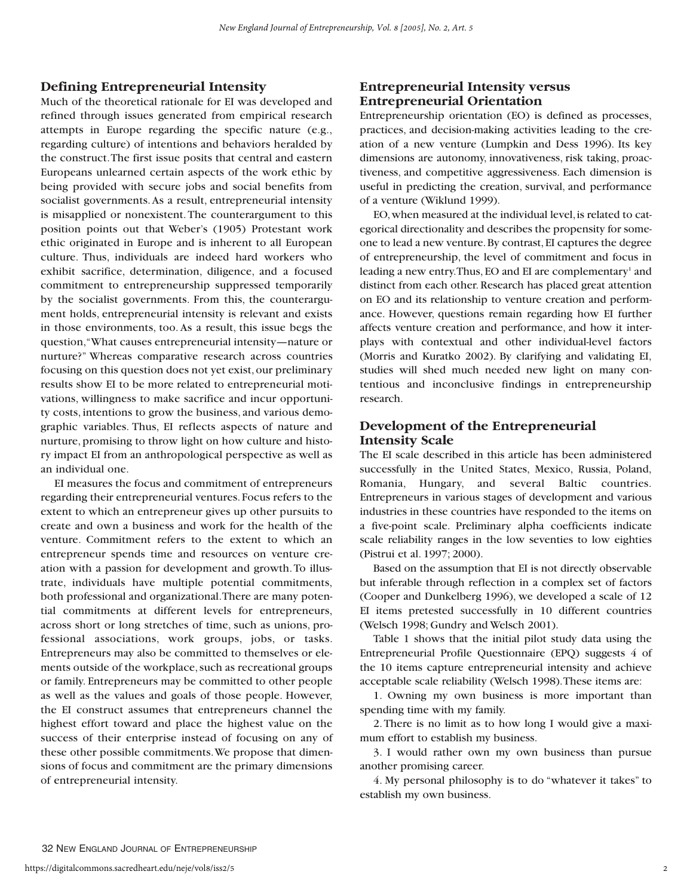#### **Defining Entrepreneurial Intensity**

Much of the theoretical rationale for EI was developed and refined through issues generated from empirical research attempts in Europe regarding the specific nature (e.g., regarding culture) of intentions and behaviors heralded by the construct.The first issue posits that central and eastern Europeans unlearned certain aspects of the work ethic by being provided with secure jobs and social benefits from socialist governments.As a result, entrepreneurial intensity is misapplied or nonexistent. The counterargument to this position points out that Weber's (1905) Protestant work ethic originated in Europe and is inherent to all European culture. Thus, individuals are indeed hard workers who exhibit sacrifice, determination, diligence, and a focused commitment to entrepreneurship suppressed temporarily by the socialist governments. From this, the counterargument holds, entrepreneurial intensity is relevant and exists in those environments, too. As a result, this issue begs the question,"What causes entrepreneurial intensity—nature or nurture?" Whereas comparative research across countries focusing on this question does not yet exist,our preliminary results show EI to be more related to entrepreneurial motivations, willingness to make sacrifice and incur opportunity costs, intentions to grow the business, and various demographic variables. Thus, EI reflects aspects of nature and nurture, promising to throw light on how culture and history impact EI from an anthropological perspective as well as an individual one.

EI measures the focus and commitment of entrepreneurs regarding their entrepreneurial ventures. Focus refers to the extent to which an entrepreneur gives up other pursuits to create and own a business and work for the health of the venture. Commitment refers to the extent to which an entrepreneur spends time and resources on venture creation with a passion for development and growth.To illustrate, individuals have multiple potential commitments, both professional and organizational.There are many potential commitments at different levels for entrepreneurs, across short or long stretches of time, such as unions, professional associations, work groups, jobs, or tasks. Entrepreneurs may also be committed to themselves or elements outside of the workplace, such as recreational groups or family. Entrepreneurs may be committed to other people as well as the values and goals of those people. However, the EI construct assumes that entrepreneurs channel the highest effort toward and place the highest value on the success of their enterprise instead of focusing on any of these other possible commitments.We propose that dimensions of focus and commitment are the primary dimensions of entrepreneurial intensity.

#### **Entrepreneurial Intensity versus Entrepreneurial Orientation**

Entrepreneurship orientation (EO) is defined as processes, practices, and decision-making activities leading to the creation of a new venture (Lumpkin and Dess 1996). Its key dimensions are autonomy, innovativeness, risk taking, proactiveness, and competitive aggressiveness. Each dimension is useful in predicting the creation, survival, and performance of a venture (Wiklund 1999).

EO, when measured at the individual level, is related to categorical directionality and describes the propensity for someone to lead a new venture.By contrast,EI captures the degree of entrepreneurship, the level of commitment and focus in leading a new entry. Thus, EO and EI are complementary<sup>1</sup> and distinct from each other. Research has placed great attention on EO and its relationship to venture creation and performance. However, questions remain regarding how EI further affects venture creation and performance, and how it interplays with contextual and other individual-level factors (Morris and Kuratko 2002). By clarifying and validating EI, studies will shed much needed new light on many contentious and inconclusive findings in entrepreneurship research.

## **Development of the Entrepreneurial Intensity Scale**

The EI scale described in this article has been administered successfully in the United States, Mexico, Russia, Poland, Romania, Hungary, and several Baltic countries. Entrepreneurs in various stages of development and various industries in these countries have responded to the items on a five-point scale. Preliminary alpha coefficients indicate scale reliability ranges in the low seventies to low eighties (Pistrui et al. 1997; 2000).

Based on the assumption that EI is not directly observable but inferable through reflection in a complex set of factors (Cooper and Dunkelberg 1996), we developed a scale of 12 EI items pretested successfully in 10 different countries (Welsch 1998; Gundry and Welsch 2001).

Table 1 shows that the initial pilot study data using the Entrepreneurial Profile Questionnaire (EPQ) suggests 4 of the 10 items capture entrepreneurial intensity and achieve acceptable scale reliability (Welsch 1998).These items are:

1. Owning my own business is more important than spending time with my family.

2. There is no limit as to how long I would give a maximum effort to establish my business.

3. I would rather own my own business than pursue another promising career.

4. My personal philosophy is to do "whatever it takes" to establish my own business.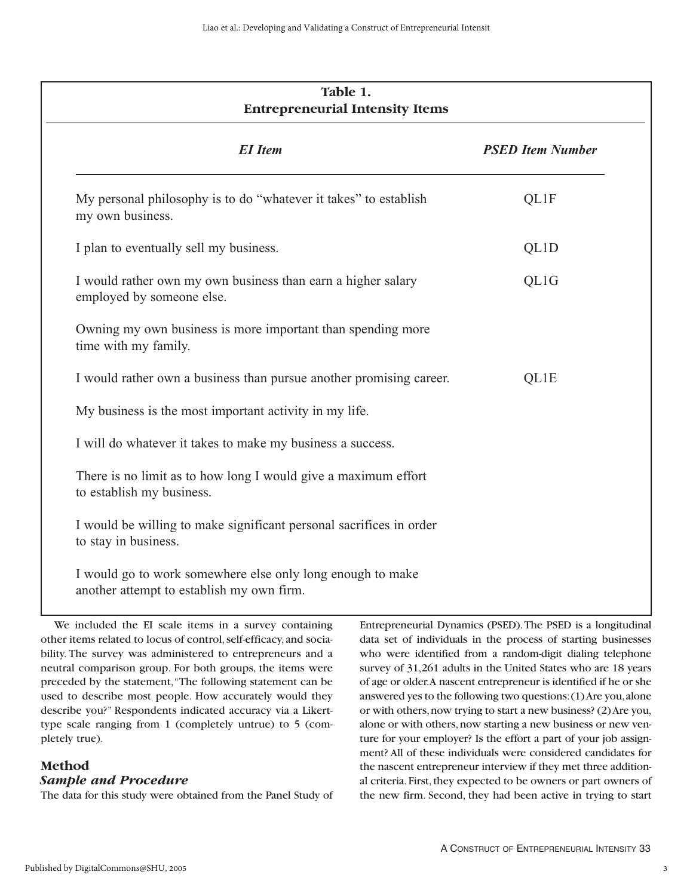| Table 1.<br><b>Entrepreneurial Intensity Items</b>                                                      |                         |  |
|---------------------------------------------------------------------------------------------------------|-------------------------|--|
| <b>EI</b> Item                                                                                          | <b>PSED Item Number</b> |  |
| My personal philosophy is to do "whatever it takes" to establish<br>my own business.                    | QL1F                    |  |
| I plan to eventually sell my business.                                                                  | QL1D                    |  |
| I would rather own my own business than earn a higher salary<br>employed by someone else.               | QL1G                    |  |
| Owning my own business is more important than spending more<br>time with my family.                     |                         |  |
| I would rather own a business than pursue another promising career.                                     | <b>QL1E</b>             |  |
| My business is the most important activity in my life.                                                  |                         |  |
| I will do whatever it takes to make my business a success.                                              |                         |  |
| There is no limit as to how long I would give a maximum effort<br>to establish my business.             |                         |  |
| I would be willing to make significant personal sacrifices in order<br>to stay in business.             |                         |  |
| I would go to work somewhere else only long enough to make<br>another attempt to establish my own firm. |                         |  |

We included the EI scale items in a survey containing other items related to locus of control,self-efficacy,and sociability. The survey was administered to entrepreneurs and a neutral comparison group. For both groups, the items were preceded by the statement,"The following statement can be used to describe most people. How accurately would they describe you?" Respondents indicated accuracy via a Likerttype scale ranging from 1 (completely untrue) to 5 (completely true).

# **Method** *Sample and Procedure*

The data for this study were obtained from the Panel Study of

Entrepreneurial Dynamics (PSED).The PSED is a longitudinal data set of individuals in the process of starting businesses who were identified from a random-digit dialing telephone survey of 31,261 adults in the United States who are 18 years of age or older.A nascent entrepreneur is identified if he or she answered yes to the following two questions:(1) Are you,alone or with others,now trying to start a new business? (2) Are you, alone or with others, now starting a new business or new venture for your employer? Is the effort a part of your job assignment? All of these individuals were considered candidates for the nascent entrepreneur interview if they met three additional criteria. First, they expected to be owners or part owners of the new firm. Second, they had been active in trying to start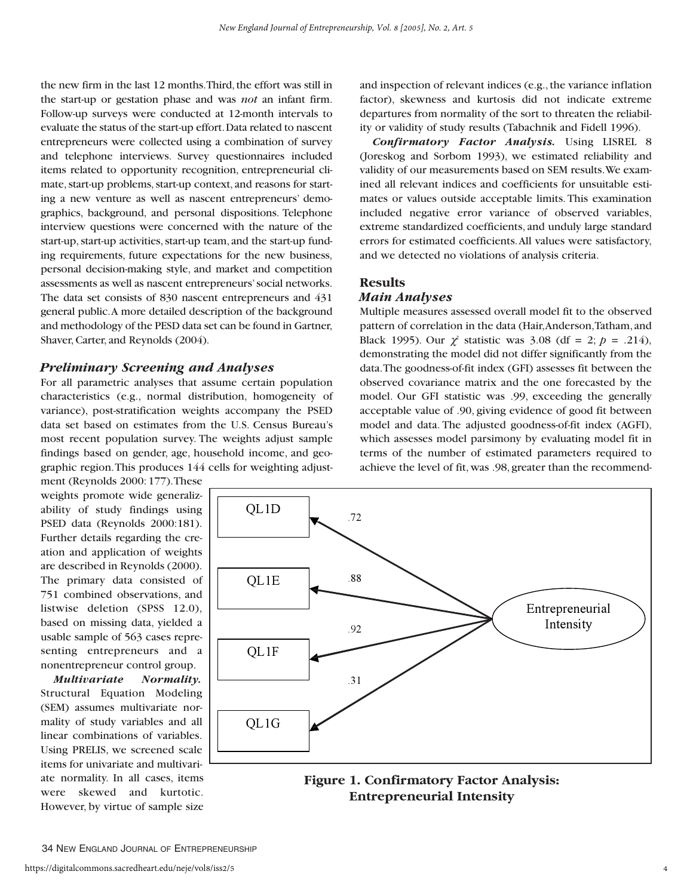the new firm in the last 12 months. Third, the effort was still in the start-up or gestation phase and was *not* an infant firm. Follow-up surveys were conducted at 12-month intervals to evaluate the status of the start-up effort.Data related to nascent entrepreneurs were collected using a combination of survey and telephone interviews. Survey questionnaires included items related to opportunity recognition, entrepreneurial climate, start-up problems, start-up context, and reasons for starting a new venture as well as nascent entrepreneurs' demographics, background, and personal dispositions. Telephone interview questions were concerned with the nature of the start-up, start-up activities, start-up team, and the start-up funding requirements, future expectations for the new business, personal decision-making style, and market and competition assessments as well as nascent entrepreneurs'social networks. The data set consists of 830 nascent entrepreneurs and 431 general public.A more detailed description of the background and methodology of the PESD data set can be found in Gartner, Shaver, Carter, and Reynolds (2004).

#### *Preliminary Screening and Analyses*

For all parametric analyses that assume certain population characteristics (e.g., normal distribution, homogeneity of variance), post-stratification weights accompany the PSED data set based on estimates from the U.S. Census Bureau's most recent population survey. The weights adjust sample findings based on gender, age, household income, and geographic region.This produces 144 cells for weighting adjust-

ment (Reynolds 2000: 177).These weights promote wide generalizability of study findings using PSED data (Reynolds 2000:181). Further details regarding the creation and application of weights are described in Reynolds (2000). The primary data consisted of 751 combined observations, and listwise deletion (SPSS 12.0), based on missing data, yielded a usable sample of 563 cases representing entrepreneurs and a nonentrepreneur control group.

*Multivariate Normality.* Structural Equation Modeling (SEM) assumes multivariate normality of study variables and all linear combinations of variables. Using PRELIS, we screened scale items for univariate and multivariate normality. In all cases, items were skewed and kurtotic. However, by virtue of sample size and inspection of relevant indices (e.g.,the variance inflation factor), skewness and kurtosis did not indicate extreme departures from normality of the sort to threaten the reliability or validity of study results (Tabachnik and Fidell 1996).

*Confirmatory Factor Analysis.* Using LISREL 8 (Joreskog and Sorbom 1993), we estimated reliability and validity of our measurements based on SEM results.We examined all relevant indices and coefficients for unsuitable estimates or values outside acceptable limits. This examination included negative error variance of observed variables, extreme standardized coefficients, and unduly large standard errors for estimated coefficients.All values were satisfactory, and we detected no violations of analysis criteria.

#### **Results**

#### *Main Analyses*

Multiple measures assessed overall model fit to the observed pattern of correlation in the data (Hair,Anderson,Tatham, and Black 1995). Our  $\chi^2$  statistic was 3.08 (df = 2; *p* = .214), demonstrating the model did not differ significantly from the data.The goodness-of-fit index (GFI) assesses fit between the observed covariance matrix and the one forecasted by the model. Our GFI statistic was .99, exceeding the generally acceptable value of .90, giving evidence of good fit between model and data. The adjusted goodness-of-fit index (AGFI), which assesses model parsimony by evaluating model fit in terms of the number of estimated parameters required to achieve the level of fit, was .98, greater than the recommend-



**Figure 1. Confirmatory Factor Analysis: Entrepreneurial Intensity**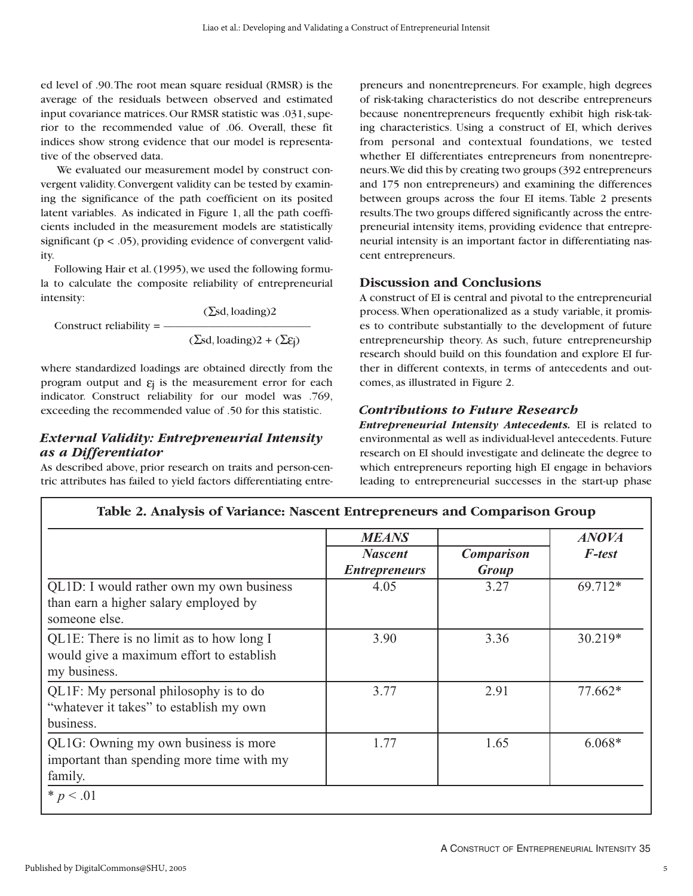ed level of .90.The root mean square residual (RMSR) is the average of the residuals between observed and estimated input covariance matrices. Our RMSR statistic was .031, superior to the recommended value of .06. Overall, these fit indices show strong evidence that our model is representative of the observed data.

We evaluated our measurement model by construct convergent validity.Convergent validity can be tested by examining the significance of the path coefficient on its posited latent variables. As indicated in Figure 1, all the path coefficients included in the measurement models are statistically significant ( $p < .05$ ), providing evidence of convergent validity.

Following Hair et al. (1995), we used the following formula to calculate the composite reliability of entrepreneurial intensity:

 $(\Sigma sd, loading)2$ Construct reliability  $=$   $(\Sigma \text{sd}, \text{loading})2 + (\Sigma \varepsilon_i)$ 

where standardized loadings are obtained directly from the program output and  $\varepsilon_j$  is the measurement error for each indicator. Construct reliability for our model was .769, exceeding the recommended value of .50 for this statistic.

## *External Validity: Entrepreneurial Intensity as a Differentiator*

As described above, prior research on traits and person-centric attributes has failed to yield factors differentiating entre-

preneurs and nonentrepreneurs. For example, high degrees of risk-taking characteristics do not describe entrepreneurs because nonentrepreneurs frequently exhibit high risk-taking characteristics. Using a construct of EI, which derives from personal and contextual foundations, we tested whether EI differentiates entrepreneurs from nonentrepreneurs.We did this by creating two groups (392 entrepreneurs and 175 non entrepreneurs) and examining the differences between groups across the four EI items. Table 2 presents results.The two groups differed significantly across the entrepreneurial intensity items, providing evidence that entrepreneurial intensity is an important factor in differentiating nascent entrepreneurs.

#### **Discussion and Conclusions**

A construct of EI is central and pivotal to the entrepreneurial process.When operationalized as a study variable, it promises to contribute substantially to the development of future entrepreneurship theory. As such, future entrepreneurship research should build on this foundation and explore EI further in different contexts, in terms of antecedents and outcomes, as illustrated in Figure 2.

## *Contributions to Future Research*

*Entrepreneurial Intensity Antecedents.* EI is related to environmental as well as individual-level antecedents. Future research on EI should investigate and delineate the degree to which entrepreneurs reporting high EI engage in behaviors leading to entrepreneurial successes in the start-up phase

|                                                                                                      | <b>MEANS</b><br><b>Nascent</b><br><b>Entrepreneurs</b> | <b>Comparison</b><br><b>Group</b> | <b>ANOVA</b><br>F-test |  |
|------------------------------------------------------------------------------------------------------|--------------------------------------------------------|-----------------------------------|------------------------|--|
|                                                                                                      |                                                        |                                   |                        |  |
|                                                                                                      |                                                        |                                   |                        |  |
| QL1D: I would rather own my own business<br>than earn a higher salary employed by<br>someone else.   | 4.05                                                   | 3.27                              | 69.712*                |  |
| QL1E: There is no limit as to how long I<br>would give a maximum effort to establish<br>my business. | 3.90                                                   | 3.36                              | $30.219*$              |  |
| QL1F: My personal philosophy is to do<br>"whatever it takes" to establish my own<br>business.        | 3.77                                                   | 2.91                              | 77.662*                |  |
| QL1G: Owning my own business is more<br>important than spending more time with my<br>family.         | 1.77                                                   | 1.65                              | $6.068*$               |  |

**Table 2. Analysis of Variance: Nascent Entrepreneurs and Comparison Group**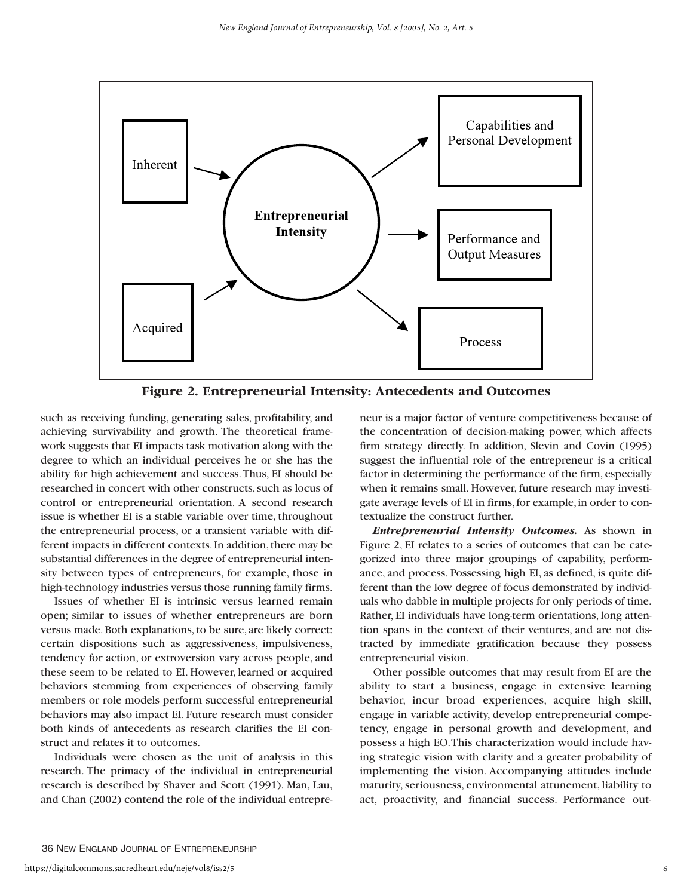

**Figure 2. Entrepreneurial Intensity: Antecedents and Outcomes**

such as receiving funding, generating sales, profitability, and achieving survivability and growth. The theoretical framework suggests that EI impacts task motivation along with the degree to which an individual perceives he or she has the ability for high achievement and success.Thus, EI should be researched in concert with other constructs, such as locus of control or entrepreneurial orientation. A second research issue is whether EI is a stable variable over time, throughout the entrepreneurial process, or a transient variable with different impacts in different contexts. In addition, there may be substantial differences in the degree of entrepreneurial intensity between types of entrepreneurs, for example, those in high-technology industries versus those running family firms.

Issues of whether EI is intrinsic versus learned remain open; similar to issues of whether entrepreneurs are born versus made. Both explanations, to be sure, are likely correct: certain dispositions such as aggressiveness, impulsiveness, tendency for action, or extroversion vary across people, and these seem to be related to EI. However, learned or acquired behaviors stemming from experiences of observing family members or role models perform successful entrepreneurial behaviors may also impact EI. Future research must consider both kinds of antecedents as research clarifies the EI construct and relates it to outcomes.

Individuals were chosen as the unit of analysis in this research. The primacy of the individual in entrepreneurial research is described by Shaver and Scott (1991). Man, Lau, and Chan (2002) contend the role of the individual entrepre-

neur is a major factor of venture competitiveness because of the concentration of decision-making power, which affects firm strategy directly. In addition, Slevin and Covin (1995) suggest the influential role of the entrepreneur is a critical factor in determining the performance of the firm, especially when it remains small. However, future research may investigate average levels of EI in firms, for example, in order to contextualize the construct further.

*Entrepreneurial Intensity Outcomes.* As shown in Figure 2, EI relates to a series of outcomes that can be categorized into three major groupings of capability, performance, and process. Possessing high EI, as defined, is quite different than the low degree of focus demonstrated by individuals who dabble in multiple projects for only periods of time. Rather, EI individuals have long-term orientations, long attention spans in the context of their ventures, and are not distracted by immediate gratification because they possess entrepreneurial vision.

Other possible outcomes that may result from EI are the ability to start a business, engage in extensive learning behavior, incur broad experiences, acquire high skill, engage in variable activity, develop entrepreneurial competency, engage in personal growth and development, and possess a high EO.This characterization would include having strategic vision with clarity and a greater probability of implementing the vision. Accompanying attitudes include maturity, seriousness, environmental attunement, liability to act, proactivity, and financial success. Performance out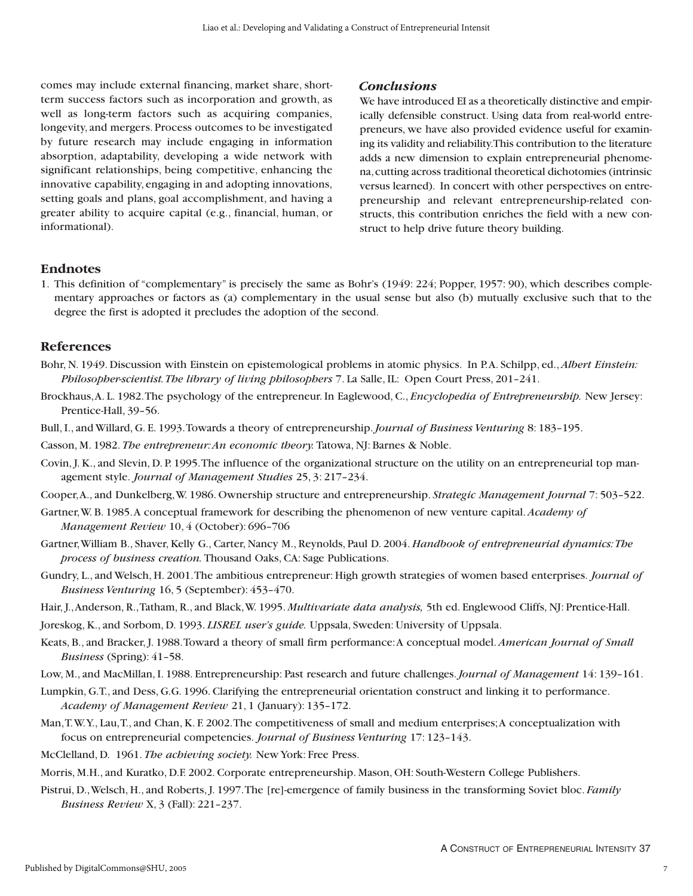comes may include external financing, market share, shortterm success factors such as incorporation and growth, as well as long-term factors such as acquiring companies, longevity, and mergers. Process outcomes to be investigated by future research may include engaging in information absorption, adaptability, developing a wide network with significant relationships, being competitive, enhancing the innovative capability, engaging in and adopting innovations, setting goals and plans, goal accomplishment, and having a greater ability to acquire capital (e.g., financial, human, or informational).

#### *Conclusions*

We have introduced EI as a theoretically distinctive and empirically defensible construct. Using data from real-world entrepreneurs, we have also provided evidence useful for examining its validity and reliability.This contribution to the literature adds a new dimension to explain entrepreneurial phenomena,cutting across traditional theoretical dichotomies (intrinsic versus learned). In concert with other perspectives on entrepreneurship and relevant entrepreneurship-related constructs, this contribution enriches the field with a new construct to help drive future theory building.

#### **Endnotes**

1. This definition of "complementary" is precisely the same as Bohr's (1949: 224; Popper, 1957: 90), which describes complementary approaches or factors as (a) complementary in the usual sense but also (b) mutually exclusive such that to the degree the first is adopted it precludes the adoption of the second.

#### **References**

- Bohr, N. 1949. Discussion with Einstein on epistemological problems in atomic physics. In P.A. Schilpp, ed., *Albert Einstein: Philosopher-scientist.The library of living philosophers* 7. La Salle, IL: Open Court Press, 201–241.
- Brockhaus,A. L. 1982.The psychology of the entrepreneur. In Eaglewood, C., *Encyclopedia of Entrepreneurship.* New Jersey: Prentice-Hall, 39–56.
- Bull, I., and Willard, G. E. 1993.Towards a theory of entrepreneurship.*Journal of Business Venturing* 8: 183–195.
- Casson, M. 1982. *The entrepreneur:An economic theory.* Tatowa, NJ: Barnes & Noble.
- Covin, J. K., and Slevin, D. P. 1995.The influence of the organizational structure on the utility on an entrepreneurial top management style. *Journal of Management Studies* 25, 3: 217–234.
- Cooper,A., and Dunkelberg,W. 1986. Ownership structure and entrepreneurship. *Strategic Management Journal* 7: 503–522.
- Gartner,W. B. 1985.A conceptual framework for describing the phenomenon of new venture capital. *Academy of Management Review* 10, 4 (October): 696–706
- Gartner,William B., Shaver, Kelly G., Carter, Nancy M., Reynolds, Paul D. 2004. *Handbook of entrepreneurial dynamics:The process of business creation.* Thousand Oaks, CA: Sage Publications.
- Gundry, L., and Welsch, H. 2001.The ambitious entrepreneur: High growth strategies of women based enterprises. *Journal of Business Venturing* 16, 5 (September): 453–470.
- Hair, J.,Anderson, R.,Tatham, R., and Black,W. 1995. *Multivariate data analysis,* 5th ed. Englewood Cliffs, NJ: Prentice-Hall.
- Joreskog, K., and Sorbom, D. 1993. *LISREL user's guide.* Uppsala, Sweden: University of Uppsala.
- Keats, B., and Bracker, J. 1988.Toward a theory of small firm performance:A conceptual model. *American Journal of Small Business* (Spring): 41–58.
- Low, M., and MacMillan, I. 1988. Entrepreneurship: Past research and future challenges.*Journal of Management* 14: 139–161.
- Lumpkin, G.T., and Dess, G.G. 1996. Clarifying the entrepreneurial orientation construct and linking it to performance. *Academy of Management Review* 21, 1 (January): 135–172.
- Man,T.W.Y., Lau,T., and Chan, K. F. 2002.The competitiveness of small and medium enterprises;A conceptualization with focus on entrepreneurial competencies. *Journal of Business Venturing* 17: 123–143.
- McClelland, D. 1961. *The achieving society.* New York: Free Press.
- Morris, M.H., and Kuratko, D.F. 2002. Corporate entrepreneurship. Mason, OH: South-Western College Publishers.
- Pistrui, D.,Welsch, H., and Roberts, J. 1997.The [re]-emergence of family business in the transforming Soviet bloc. *Family Business Review* X, 3 (Fall): 221–237.